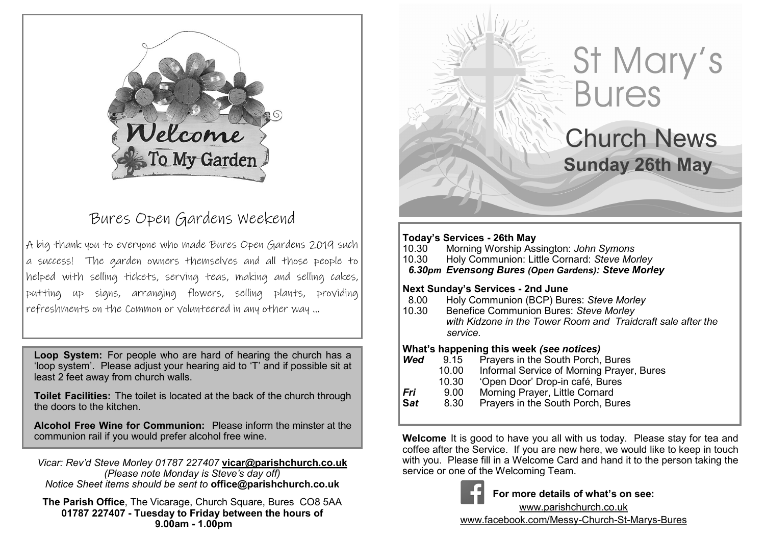

## Bures Open Gardens Weekend

A big thank you to everyone who made Bures Open Gardens 2019 such a success! The garden owners themselves and all those people to helped with selling tickets, serving teas, making and selling cakes, putting up signs, arranging flowers, selling plants, providing refreshments on the Common or volunteered in any other way ...

**Loop System:** For people who are hard of hearing the church has a 'loop system'. Please adjust your hearing aid to 'T' and if possible sit at least 2 feet away from church walls.

**Toilet Facilities:** The toilet is located at the back of the church through the doors to the kitchen.

**Alcohol Free Wine for Communion:** Please inform the minster at the communion rail if you would prefer alcohol free wine.

*Vicar: Rev'd Steve Morley 01787 227407* **vicar@parishchurch.co.uk** *(Please note Monday is Steve's day off) Notice Sheet items should be sent to* **office@parishchurch.co.uk**

**The Parish Office**, The Vicarage, Church Square, Bures CO8 5AA **01787 227407 - Tuesday to Friday between the hours of 9.00am - 1.00pm**

# St Mary's **Bures**

Church News **Sunday 26th May**

#### **Today's Services - 26th May**

í

- 10.30 Morning Worship Assington: *John Symons*
- 10.30 Holy Communion: Little Cornard: *Steve Morley*

 *6.30pm Evensong Bures (Open Gardens): Steve Morley*

#### **Next Sunday's Services - 2nd June**

- 8.00 Holy Communion (BCP) Bures: *Steve Morley*
- 10.30 Benefice Communion Bures: *Steve Morley with Kidzone in the Tower Room and Traidcraft sale after the service.*

#### **What's happening this week** *(see notices)*

- **Wed** 9.15 Prayers in the South Porch, Bures
	- 10.00 Informal Service of Morning Prayer, Bures<br>10.30 'Open Door' Drop-in café. Bures
	-
	- 10.30 'Open Door' Drop-in café, Bures<br>\_9.00 Morning Praver, Little Cornard
- **Fri** 9.00 Morning Prayer, Little Cornard<br>**Sat** 8.30 Prayers in the South Porch Bu **Prayers in the South Porch, Bures**

**Welcome** It is good to have you all with us today. Please stay for tea and coffee after the Service. If you are new here, we would like to keep in touch with you. Please fill in a Welcome Card and hand it to the person taking the service or one of the Welcoming Team.



**For more details of what's on see:**

www.parishchurch.co.uk www.facebook.com/Messy-Church-St-Marys-Bures